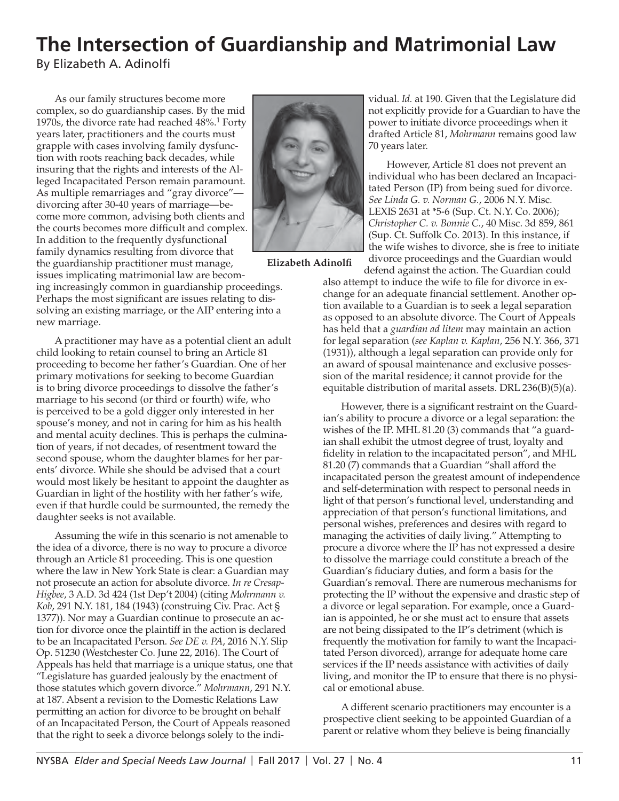## **The Intersection of Guardianship and Matrimonial Law**

By Elizabeth A. Adinolfi

As our family structures become more complex, so do guardianship cases. By the mid 1970s, the divorce rate had reached  $48\%$ .<sup>1</sup> Forty years later, practitioners and the courts must grapple with cases involving family dysfunction with roots reaching back decades, while insuring that the rights and interests of the Alleged Incapacitated Person remain paramount. As multiple remarriages and "gray divorce" divorcing after 30-40 years of marriage—become more common, advising both clients and the courts becomes more difficult and complex. In addition to the frequently dysfunctional family dynamics resulting from divorce that the guardianship practitioner must manage, issues implicating matrimonial law are becom-

ing increasingly common in guardianship proceedings. Perhaps the most significant are issues relating to dissolving an existing marriage, or the AIP entering into a new marriage.

A practitioner may have as a potential client an adult child looking to retain counsel to bring an Article 81 proceeding to become her father's Guardian. One of her primary motivations for seeking to become Guardian is to bring divorce proceedings to dissolve the father's marriage to his second (or third or fourth) wife, who is perceived to be a gold digger only interested in her spouse's money, and not in caring for him as his health and mental acuity declines. This is perhaps the culmination of years, if not decades, of resentment toward the second spouse, whom the daughter blames for her parents' divorce. While she should be advised that a court would most likely be hesitant to appoint the daughter as Guardian in light of the hostility with her father's wife, even if that hurdle could be surmounted, the remedy the daughter seeks is not available.

Assuming the wife in this scenario is not amenable to the idea of a divorce, there is no way to procure a divorce through an Article 81 proceeding. This is one question where the law in New York State is clear: a Guardian may not prosecute an action for absolute divorce. *In re Cresap-Higbee*, 3 A.D. 3d 424 (1st Dep't 2004) (citing *Mohrmann v. Kob*, 291 N.Y. 181, 184 (1943) (construing Civ. Prac. Act § 1377)). Nor may a Guardian continue to prosecute an action for divorce once the plaintiff in the action is declared to be an Incapacitated Person. *See DE v. PA*, 2016 N.Y. Slip Op. 51230 (Westchester Co. June 22, 2016). The Court of Appeals has held that marriage is a unique status, one that "Legislature has guarded jealously by the enactment of those statutes which govern divorce." *Mohrmann*, 291 N.Y. at 187. Absent a revision to the Domestic Relations Law permitting an action for divorce to be brought on behalf of an Incapacitated Person, the Court of Appeals reasoned that the right to seek a divorce belongs solely to the indi-



**Elizabeth Adinolfi** 

vidual. *Id.* at 190. Given that the Legislature did not explicitly provide for a Guardian to have the power to initiate divorce proceedings when it drafted Article 81, *Mohrmann* remains good law 70 years later.

However, Article 81 does not prevent an individual who has been declared an Incapacitated Person (IP) from being sued for divorce. *See Linda G. v. Norman G.*, 2006 N.Y. Misc. LEXIS 2631 at \*5-6 (Sup. Ct. N.Y. Co. 2006); *Christopher C. v. Bonnie C.*, 40 Misc. 3d 859, 861 (Sup. Ct. Suffolk Co. 2013). In this instance, if the wife wishes to divorce, she is free to initiate divorce proceedings and the Guardian would

defend against the action. The Guardian could also attempt to induce the wife to file for divorce in exchange for an adequate financial settlement. Another option available to a Guardian is to seek a legal separation as opposed to an absolute divorce. The Court of Appeals has held that a *guardian ad litem* may maintain an action for legal separation (*see Kaplan v. Kaplan*, 256 N.Y. 366, 371 (1931)), although a legal separation can provide only for an award of spousal maintenance and exclusive possession of the marital residence; it cannot provide for the equitable distribution of marital assets. DRL 236(B)(5)(a).

However, there is a significant restraint on the Guardian's ability to procure a divorce or a legal separation: the wishes of the IP. MHL 81.20 (3) commands that "a guardian shall exhibit the utmost degree of trust, loyalty and fidelity in relation to the incapacitated person", and MHL 81.20 (7) commands that a Guardian "shall afford the incapacitated person the greatest amount of independence and self-determination with respect to personal needs in light of that person's functional level, understanding and appreciation of that person's functional limitations, and personal wishes, preferences and desires with regard to managing the activities of daily living." Attempting to procure a divorce where the IP has not expressed a desire to dissolve the marriage could constitute a breach of the Guardian's fiduciary duties, and form a basis for the Guardian's removal. There are numerous mechanisms for protecting the IP without the expensive and drastic step of a divorce or legal separation. For example, once a Guardian is appointed, he or she must act to ensure that assets are not being dissipated to the IP's detriment (which is frequently the motivation for family to want the Incapacitated Person divorced), arrange for adequate home care services if the IP needs assistance with activities of daily living, and monitor the IP to ensure that there is no physical or emotional abuse.

A different scenario practitioners may encounter is a prospective client seeking to be appointed Guardian of a parent or relative whom they believe is being financially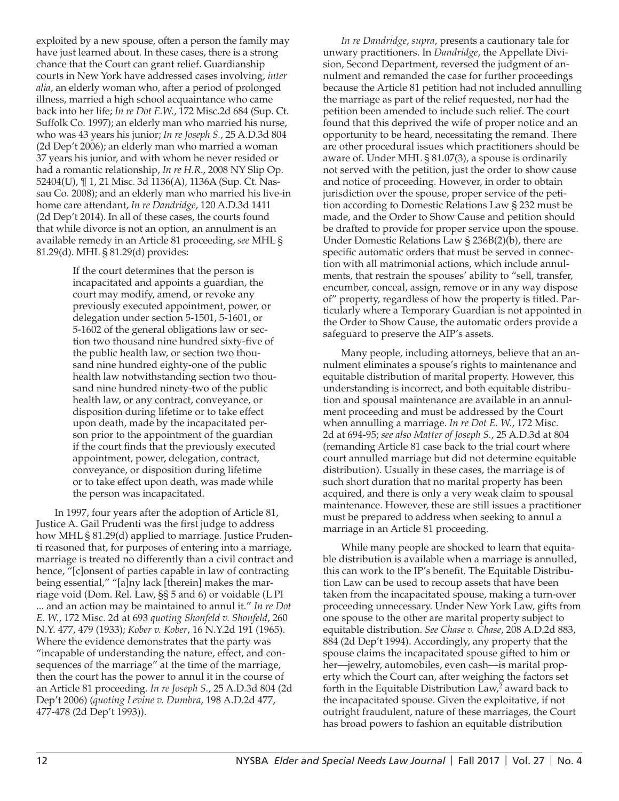exploited by a new spouse, often a person the family may have just learned about. In these cases, there is a strong chance that the Court can grant relief. Guardianship courts in New York have addressed cases involving, *inter alia*, an elderly woman who, after a period of prolonged illness, married a high school acquaintance who came back into her life; *In re Dot E.W.*, 172 Misc.2d 684 (Sup. Ct. Suffolk Co. 1997); an elderly man who married his nurse, who was 43 years his junior; *In re Joseph S.*, 25 A.D.3d 804 (2d Dep't 2006); an elderly man who married a woman 37 years his junior, and with whom he never resided or had a romantic relationship, *In re H.R*., 2008 NY Slip Op. 52404(U), ¶ 1, 21 Misc. 3d 1136(A), 1136A (Sup. Ct. Nassau Co. 2008); and an elderly man who married his live-in home care attendant, *In re Dandridge*, 120 A.D.3d 1411 (2d Dep't 2014). In all of these cases, the courts found that while divorce is not an option, an annulment is an available remedy in an Article 81 proceeding, *see* MHL § 81.29(d). MHL § 81.29(d) provides:

> If the court determines that the person is incapacitated and appoints a guardian, the court may modify, amend, or revoke any previously executed appointment, power, or delegation under section 5-1501, 5-1601, or 5-1602 of the general obligations law or section two thousand nine hundred sixty-five of the public health law, or section two thousand nine hundred eighty-one of the public health law notwithstanding section two thousand nine hundred ninety-two of the public health law, or any contract, conveyance, or disposition during lifetime or to take effect upon death, made by the incapacitated person prior to the appointment of the guardian if the court finds that the previously executed appointment, power, delegation, contract, conveyance, or disposition during lifetime or to take effect upon death, was made while the person was incapacitated.

In 1997, four years after the adoption of Article 81, Justice A. Gail Prudenti was the first judge to address how MHL § 81.29(d) applied to marriage. Justice Prudenti reasoned that, for purposes of entering into a marriage, marriage is treated no differently than a civil contract and hence, "[c]onsent of parties capable in law of contracting being essential," "[a]ny lack [therein] makes the marriage void (Dom. Rel. Law, §§ 5 and 6) or voidable (L PI ... and an action may be maintained to annul it." *In re Dot E. W.*, 172 Misc. 2d at 693 *quoting Shonfeld v. Shonfeld*, 260 N.Y. 477, 479 (1933); *Kober v. Kober*, 16 N.Y.2d 191 (1965). Where the evidence demonstrates that the party was "incapable of understanding the nature, effect, and consequences of the marriage" at the time of the marriage, then the court has the power to annul it in the course of an Article 81 proceeding. *In re Joseph S.*, 25 A.D.3d 804 (2d Dep't 2006) (*quoting Levine v. Dumbra*, 198 A.D.2d 477, 477-478 (2d Dep't 1993)).

*In re Dandridge*, *supra*, presents a cautionary tale for unwary practitioners. In *Dandridge*, the Appellate Division, Second Department, reversed the judgment of annulment and remanded the case for further proceedings because the Article 81 petition had not included annulling the marriage as part of the relief requested, nor had the petition been amended to include such relief. The court found that this deprived the wife of proper notice and an opportunity to be heard, necessitating the remand. There are other procedural issues which practitioners should be aware of. Under MHL § 81.07(3), a spouse is ordinarily not served with the petition, just the order to show cause and notice of proceeding. However, in order to obtain jurisdiction over the spouse, proper service of the petition according to Domestic Relations Law § 232 must be made, and the Order to Show Cause and petition should be drafted to provide for proper service upon the spouse. Under Domestic Relations Law § 236B(2)(b), there are specific automatic orders that must be served in connection with all matrimonial actions, which include annulments, that restrain the spouses' ability to "sell, transfer, encumber, conceal, assign, remove or in any way dispose of" property, regardless of how the property is titled. Particularly where a Temporary Guardian is not appointed in the Order to Show Cause, the automatic orders provide a safeguard to preserve the AIP's assets.

Many people, including attorneys, believe that an annulment eliminates a spouse's rights to maintenance and equitable distribution of marital property. However, this understanding is incorrect, and both equitable distribution and spousal maintenance are available in an annulment proceeding and must be addressed by the Court when annulling a marriage. *In re Dot E. W.*, 172 Misc. 2d at 694-95; *see also Matter of Joseph S.*, 25 A.D.3d at 804 (remanding Article 81 case back to the trial court where court annulled marriage but did not determine equitable distribution). Usually in these cases, the marriage is of such short duration that no marital property has been acquired, and there is only a very weak claim to spousal maintenance. However, these are still issues a practitioner must be prepared to address when seeking to annul a marriage in an Article 81 proceeding.

While many people are shocked to learn that equitable distribution is available when a marriage is annulled, this can work to the IP's benefit. The Equitable Distribution Law can be used to recoup assets that have been taken from the incapacitated spouse, making a turn-over proceeding unnecessary. Under New York Law, gifts from one spouse to the other are marital property subject to equitable distribution. *See Chase v. Chase*, 208 A.D.2d 883, 884 (2d Dep't 1994). Accordingly, any property that the spouse claims the incapacitated spouse gifted to him or her—jewelry, automobiles, even cash—is marital property which the Court can, after weighing the factors set forth in the Equitable Distribution Law, $^2$  award back to the incapacitated spouse. Given the exploitative, if not outright fraudulent, nature of these marriages, the Court has broad powers to fashion an equitable distribution